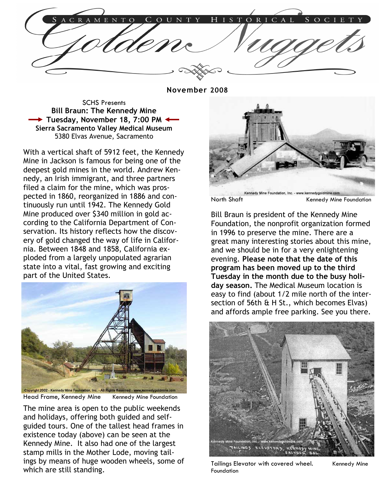November 2008

SCHS Presents Bill Braun: The Kennedy Mine → Tuesday, November 18, 7:00 PM Sierra Sacramento Valley Medical Museum 5380 Elvas Avenue, Sacramento

With a vertical shaft of 5912 feet, the Kennedy Mine in Jackson is famous for being one of the deepest gold mines in the world. Andrew Kennedy, an Irish immigrant, and three partners filed a claim for the mine, which was prospected in 1860, reorganized in 1886 and continuously run until 1942. The Kennedy Gold Mine produced over \$340 million in gold according to the California Department of Conservation. Its history reflects how the discovery of gold changed the way of life in California. Between 1848 and 1858, California exploded from a largely unpopulated agrarian state into a vital, fast growing and exciting part of the United States.



Head Frame, Kennedy Mine Kennedy Mine Foundation

The mine area is open to the public weekends and holidays, offering both guided and selfguided tours. One of the tallest head frames in existence today (above) can be seen at the Kennedy Mine. It also had one of the largest stamp mills in the Mother Lode, moving tailings by means of huge wooden wheels, some of which are still standing.



North Shaft Kennedy Mine Foundation

Bill Braun is president of the Kennedy Mine Foundation, the nonprofit organization formed in 1996 to preserve the mine. There are a great many interesting stories about this mine, and we should be in for a very enlightening evening. Please note that the date of this program has been moved up to the third Tuesday in the month due to the busy holiday season. The Medical Museum location is easy to find (about 1/2 mile north of the intersection of 56th & H St., which becomes Elvas) and affords ample free parking. See you there.



Tailings Elevator with covered wheel. Kennedy Mine Foundation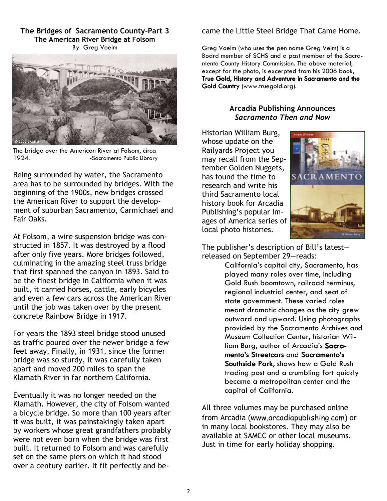The Bridges of Sacramento County-Part 3 The American River Bridge at Folsom By Greg Voelm



The bridge over the American River at Folsom, circa 1924. - Sacramento Public Library

Being surrounded by water, the Sacramento area has to be surrounded by bridges. With the beginning of the 1900s, new bridges crossed the American River to support the development of suburban Sacramento, Carmichael and Fair Oaks.

At Folsom, a wire suspension bridge was constructed in 1857. It was destroyed by a flood after only five years. More bridges followed, culminating in the amazing steel truss bridge that first spanned the canyon in 1893. Said to be the finest bridge in California when it was built, it carried horses, cattle, early bicycles and even a few cars across the American River until the job was taken over by the present concrete Rainbow Bridge in 1917.

For years the 1893 steel bridge stood unused as traffic poured over the newer bridge a few feet away. Finally, in 1931, since the former bridge was so sturdy, it was carefully taken apart and moved 200 miles to span the Klamath River in far northern California.

Eventually it was no longer needed on the Klamath. However, the city of Folsom wanted a bicycle bridge. So more than 100 years after it was built, it was painstakingly taken apart by workers whose great grandfathers probably were not even born when the bridge was first built. It returned to Folsom and was carefully set on the same piers on which it had stood over a century earlier. It fit perfectly and be-

# came the Little Steel Bridge That Came Home.

Greg Voelm (who uses the pen name Greg Velm) is a Board member of SCHS and a past member of the Sacramento County History Commission. The above material, except for the photo, is excerpted from his 2006 book, True Gold, History and Adventure in Sacramento and the Gold Country (www.truegold.org).

# Arcadia Publishing Announces Sacramento Then and Now

Historian William Burg, whose update on the Railyards Project you may recall from the September Golden Nuggets, has found the time to research and write his third Sacramento local history book for Arcadia Publishing's popular Images of America series of local photo histories.



The publisher's description of Bill's latest released on September 29—reads:

> California's capital city, Sacramento, has played many roles over time, including Gold Rush boomtown, railroad terminus, regional industrial center, and seat of state government. These varied roles meant dramatic changes as the city grew outward and upward. Using photographs provided by the Sacramento Archives and Museum Collection Center, historian William Burg, author of Arcadia's Sacramento's Streetcars and Sacramento's Southside Park, shows how a Gold Rush trading post and a crumbling fort quickly became a metropolitan center and the capital of California.

All three volumes may be purchased online from Arcadia (www.arcadiapublishing.com) or in many local bookstores. They may also be available at SAMCC or other local museums. Just in time for early holiday shopping.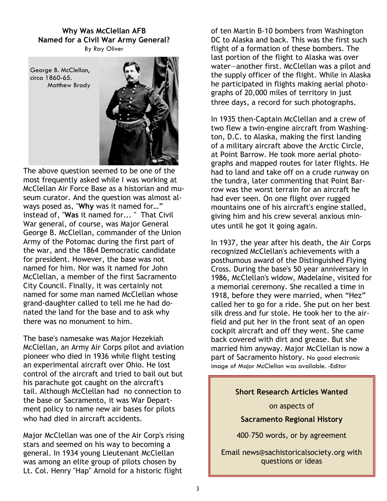#### Why Was McClellan AFB Named for a Civil War Army General? By Ray Oliver

George B. McClellan, circa 1860-65. Matthew Brady



The above question seemed to be one of the most frequently asked while I was working at McClellan Air Force Base as a historian and museum curator. And the question was almost always posed as, "Why was it named for…" instead of, "Was it named for... " That Civil War general, of course, was Major General George B. McClellan, commander of the Union Army of the Potomac during the first part of the war, and the 1864 Democratic candidate for president. However, the base was not named for him. Nor was it named for John McClellan, a member of the first Sacramento City Council. Finally, it was certainly not named for some man named McClellan whose grand-daughter called to tell me he had donated the land for the base and to ask why there was no monument to him.

The base's namesake was Major Hezekiah McClellan, an Army Air Corps pilot and aviation pioneer who died in 1936 while flight testing an experimental aircraft over Ohio. He lost control of the aircraft and tried to bail out but his parachute got caught on the aircraft's tail. Although McClellan had no connection to the base or Sacramento, it was War Department policy to name new air bases for pilots who had died in aircraft accidents.

Major McClellan was one of the Air Corp's rising stars and seemed on his way to becoming a general. In 1934 young Lieutenant McClellan was among an elite group of pilots chosen by Lt. Col. Henry "Hap" Arnold for a historic flight

of ten Martin B-10 bombers from Washington DC to Alaska and back. This was the first such flight of a formation of these bombers. The last portion of the flight to Alaska was over water—another first. McClellan was a pilot and the supply officer of the flight. While in Alaska he participated in flights making aerial photographs of 20,000 miles of territory in just three days, a record for such photographs.

In 1935 then-Captain McClellan and a crew of two flew a twin-engine aircraft from Washington, D.C. to Alaska, making the first landing of a military aircraft above the Arctic Circle, at Point Barrow. He took more aerial photographs and mapped routes for later flights. He had to land and take off on a crude runway on the tundra, later commenting that Point Barrow was the worst terrain for an aircraft he had ever seen. On one flight over rugged mountains one of his aircraft's engine stalled, giving him and his crew several anxious minutes until he got it going again.

In 1937, the year after his death, the Air Corps recognized McClellan's achievements with a posthumous award of the Distinguished Flying Cross. During the base's 50 year anniversary in 1986, McClellan's widow, Madelaine, visited for a memorial ceremony. She recalled a time in 1918, before they were married, when "Hez" called her to go for a ride. She put on her best silk dress and fur stole. He took her to the airfield and put her in the front seat of an open cockpit aircraft and off they went. She came back covered with dirt and grease. But she married him anyway. Major McClellan is now a part of Sacramento history. No good electronic image of Major McClellan was available. -Editor

# Short Research Articles Wanted

on aspects of

Sacramento Regional History

400–750 words, or by agreement

Email news@sachistoricalsociety.org with questions or ideas